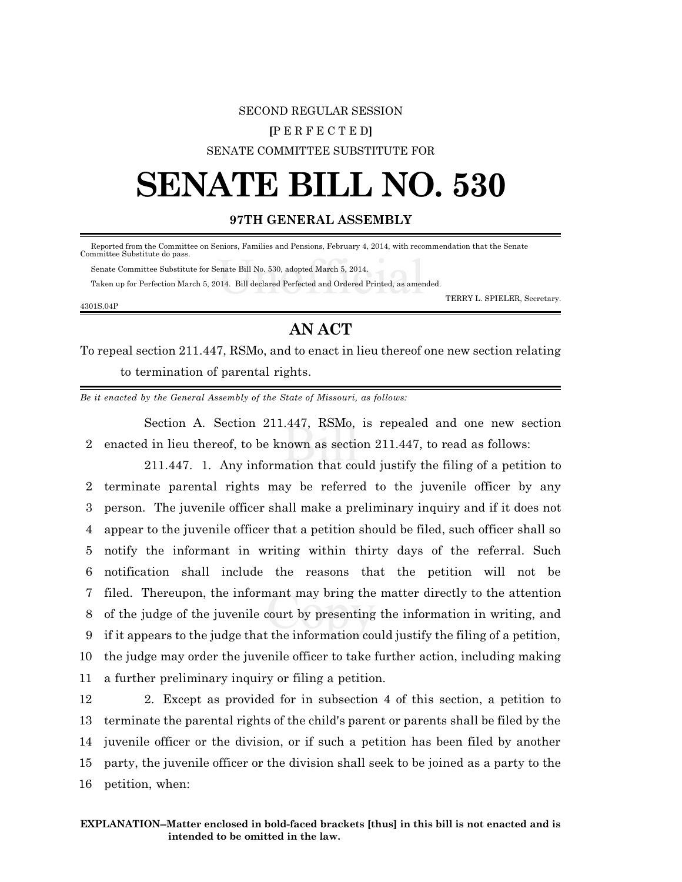## SECOND REGULAR SESSION **[**P E R F E C T E D**]** SENATE COMMITTEE SUBSTITUTE FOR

## **SENATE BILL NO. 530**

## **97TH GENERAL ASSEMBLY**

 Reported from the Committee on Seniors, Families and Pensions, February 4, 2014, with recommendation that the Senate Committee Substitute do pass.

 Senate Committee Substitute for Senate Bill No. 530, adopted March 5, 2014. Taken up for Perfection March 5, 2014. Bill declared Perfected and Ordered Printed, as amended.

4301S.04P

TERRY L. SPIELER, Secretary.

## **AN ACT**

To repeal section 211.447, RSMo, and to enact in lieu thereof one new section relating to termination of parental rights.

*Be it enacted by the General Assembly of the State of Missouri, as follows:*

Section A. Section 211.447, RSMo, is repealed and one new section 2 enacted in lieu thereof, to be known as section 211.447, to read as follows:

211.447. 1. Any information that could justify the filing of a petition to terminate parental rights may be referred to the juvenile officer by any person. The juvenile officer shall make a preliminary inquiry and if it does not appear to the juvenile officer that a petition should be filed, such officer shall so notify the informant in writing within thirty days of the referral. Such notification shall include the reasons that the petition will not be filed. Thereupon, the informant may bring the matter directly to the attention of the judge of the juvenile court by presenting the information in writing, and if it appears to the judge that the information could justify the filing of a petition, the judge may order the juvenile officer to take further action, including making a further preliminary inquiry or filing a petition.

 2. Except as provided for in subsection 4 of this section, a petition to terminate the parental rights of the child's parent or parents shall be filed by the juvenile officer or the division, or if such a petition has been filed by another party, the juvenile officer or the division shall seek to be joined as a party to the petition, when: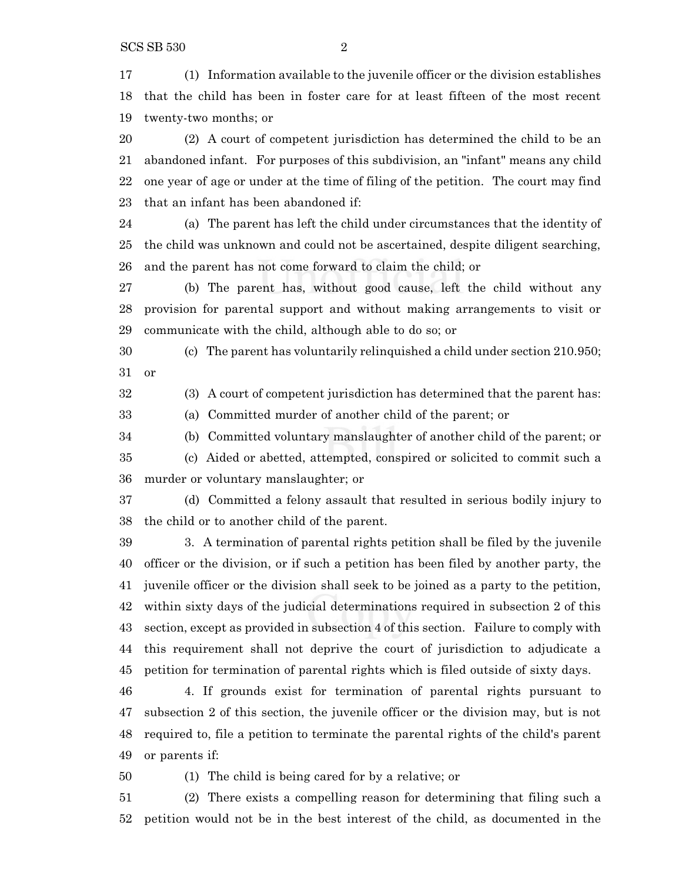(1) Information available to the juvenile officer or the division establishes that the child has been in foster care for at least fifteen of the most recent twenty-two months; or

 (2) A court of competent jurisdiction has determined the child to be an abandoned infant. For purposes of this subdivision, an "infant" means any child one year of age or under at the time of filing of the petition. The court may find that an infant has been abandoned if:

 (a) The parent has left the child under circumstances that the identity of the child was unknown and could not be ascertained, despite diligent searching, and the parent has not come forward to claim the child; or

 (b) The parent has, without good cause, left the child without any provision for parental support and without making arrangements to visit or communicate with the child, although able to do so; or

 (c) The parent has voluntarily relinquished a child under section 210.950; or

(3) A court of competent jurisdiction has determined that the parent has:

(a) Committed murder of another child of the parent; or

(b) Committed voluntary manslaughter of another child of the parent; or

 (c) Aided or abetted, attempted, conspired or solicited to commit such a murder or voluntary manslaughter; or

 (d) Committed a felony assault that resulted in serious bodily injury to the child or to another child of the parent.

 3. A termination of parental rights petition shall be filed by the juvenile officer or the division, or if such a petition has been filed by another party, the juvenile officer or the division shall seek to be joined as a party to the petition, within sixty days of the judicial determinations required in subsection 2 of this section, except as provided in subsection 4 of this section. Failure to comply with this requirement shall not deprive the court of jurisdiction to adjudicate a petition for termination of parental rights which is filed outside of sixty days.

 4. If grounds exist for termination of parental rights pursuant to subsection 2 of this section, the juvenile officer or the division may, but is not required to, file a petition to terminate the parental rights of the child's parent or parents if:

(1) The child is being cared for by a relative; or

 (2) There exists a compelling reason for determining that filing such a petition would not be in the best interest of the child, as documented in the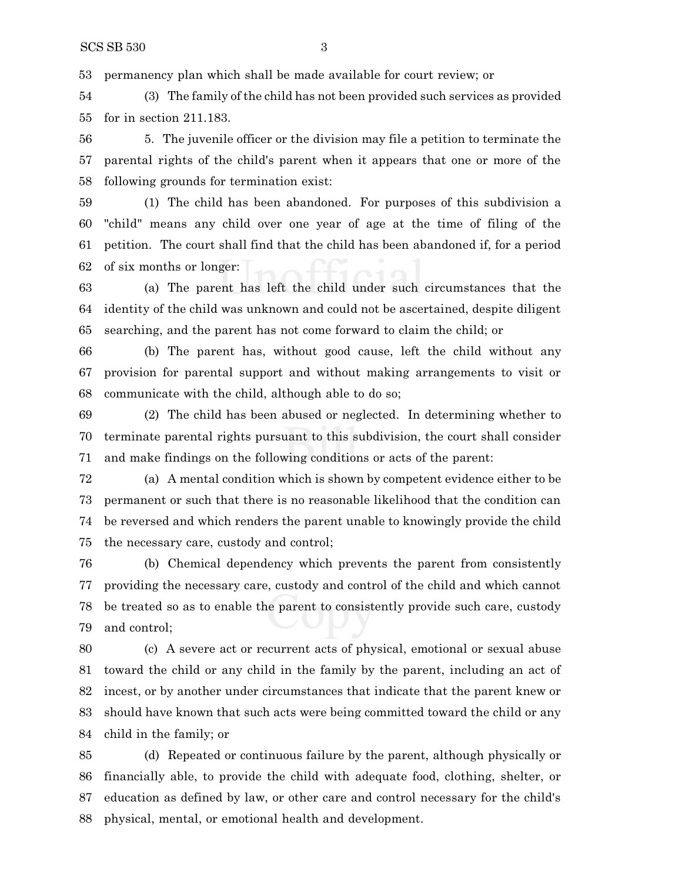permanency plan which shall be made available for court review; or

 (3) The family of the child has not been provided such services as provided for in section 211.183.

 5. The juvenile officer or the division may file a petition to terminate the parental rights of the child's parent when it appears that one or more of the following grounds for termination exist:

 (1) The child has been abandoned. For purposes of this subdivision a "child" means any child over one year of age at the time of filing of the petition. The court shall find that the child has been abandoned if, for a period of six months or longer:

 (a) The parent has left the child under such circumstances that the identity of the child was unknown and could not be ascertained, despite diligent searching, and the parent has not come forward to claim the child; or

 (b) The parent has, without good cause, left the child without any provision for parental support and without making arrangements to visit or communicate with the child, although able to do so;

 (2) The child has been abused or neglected. In determining whether to terminate parental rights pursuant to this subdivision, the court shall consider and make findings on the following conditions or acts of the parent:

 (a) A mental condition which is shown by competent evidence either to be permanent or such that there is no reasonable likelihood that the condition can be reversed and which renders the parent unable to knowingly provide the child the necessary care, custody and control;

 (b) Chemical dependency which prevents the parent from consistently providing the necessary care, custody and control of the child and which cannot be treated so as to enable the parent to consistently provide such care, custody and control;

 (c) A severe act or recurrent acts of physical, emotional or sexual abuse toward the child or any child in the family by the parent, including an act of incest, or by another under circumstances that indicate that the parent knew or should have known that such acts were being committed toward the child or any child in the family; or

 (d) Repeated or continuous failure by the parent, although physically or financially able, to provide the child with adequate food, clothing, shelter, or education as defined by law, or other care and control necessary for the child's physical, mental, or emotional health and development.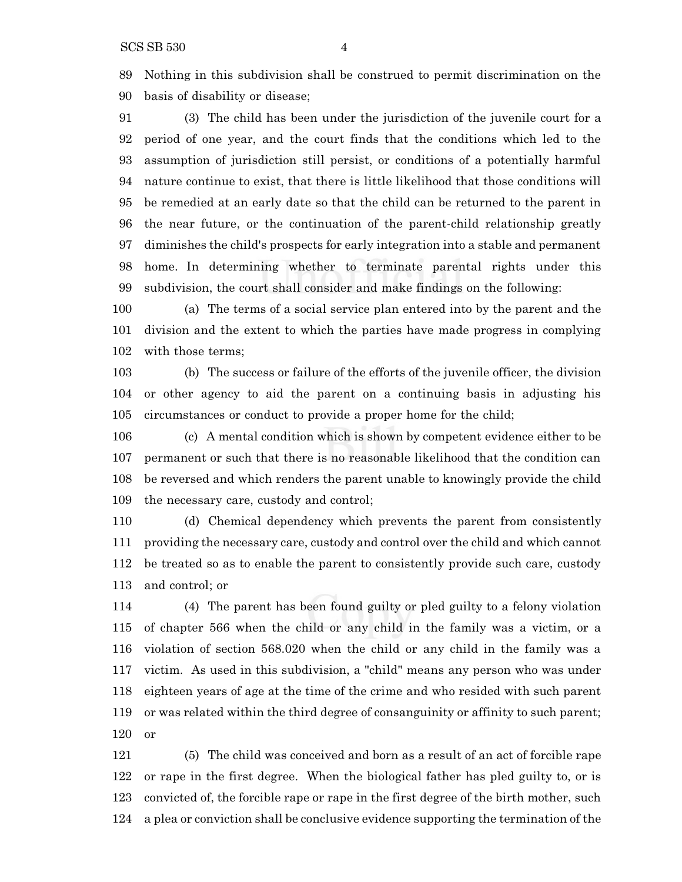Nothing in this subdivision shall be construed to permit discrimination on the basis of disability or disease;

 (3) The child has been under the jurisdiction of the juvenile court for a period of one year, and the court finds that the conditions which led to the assumption of jurisdiction still persist, or conditions of a potentially harmful nature continue to exist, that there is little likelihood that those conditions will be remedied at an early date so that the child can be returned to the parent in the near future, or the continuation of the parent-child relationship greatly diminishes the child's prospects for early integration into a stable and permanent home. In determining whether to terminate parental rights under this subdivision, the court shall consider and make findings on the following:

 (a) The terms of a social service plan entered into by the parent and the division and the extent to which the parties have made progress in complying with those terms;

 (b) The success or failure of the efforts of the juvenile officer, the division or other agency to aid the parent on a continuing basis in adjusting his circumstances or conduct to provide a proper home for the child;

 (c) A mental condition which is shown by competent evidence either to be permanent or such that there is no reasonable likelihood that the condition can be reversed and which renders the parent unable to knowingly provide the child the necessary care, custody and control;

 (d) Chemical dependency which prevents the parent from consistently providing the necessary care, custody and control over the child and which cannot be treated so as to enable the parent to consistently provide such care, custody and control; or

 (4) The parent has been found guilty or pled guilty to a felony violation of chapter 566 when the child or any child in the family was a victim, or a violation of section 568.020 when the child or any child in the family was a victim. As used in this subdivision, a "child" means any person who was under eighteen years of age at the time of the crime and who resided with such parent or was related within the third degree of consanguinity or affinity to such parent; or

 (5) The child was conceived and born as a result of an act of forcible rape or rape in the first degree. When the biological father has pled guilty to, or is convicted of, the forcible rape or rape in the first degree of the birth mother, such a plea or conviction shall be conclusive evidence supporting the termination of the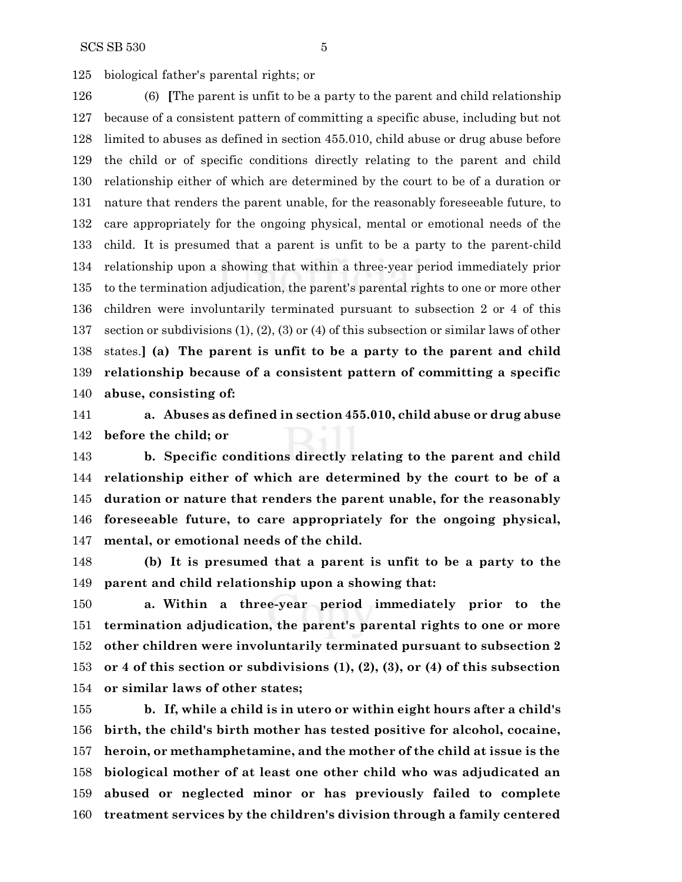biological father's parental rights; or

 (6) **[**The parent is unfit to be a party to the parent and child relationship because of a consistent pattern of committing a specific abuse, including but not limited to abuses as defined in section 455.010, child abuse or drug abuse before the child or of specific conditions directly relating to the parent and child relationship either of which are determined by the court to be of a duration or nature that renders the parent unable, for the reasonably foreseeable future, to care appropriately for the ongoing physical, mental or emotional needs of the child. It is presumed that a parent is unfit to be a party to the parent-child relationship upon a showing that within a three-year period immediately prior to the termination adjudication, the parent's parental rights to one or more other children were involuntarily terminated pursuant to subsection 2 or 4 of this section or subdivisions (1), (2), (3) or (4) of this subsection or similar laws of other states.**] (a) The parent is unfit to be a party to the parent and child relationship because of a consistent pattern of committing a specific abuse, consisting of:**

 **a. Abuses as defined in section 455.010, child abuse or drug abuse before the child; or**

 **b. Specific conditions directly relating to the parent and child relationship either of which are determined by the court to be of a duration or nature that renders the parent unable, for the reasonably foreseeable future, to care appropriately for the ongoing physical, mental, or emotional needs of the child.**

 **(b) It is presumed that a parent is unfit to be a party to the parent and child relationship upon a showing that:**

 **a. Within a three-year period immediately prior to the termination adjudication, the parent's parental rights to one or more other children were involuntarily terminated pursuant to subsection 2 or 4 of this section or subdivisions (1), (2), (3), or (4) of this subsection or similar laws of other states;**

 **b. If, while a child is in utero or within eight hours after a child's birth, the child's birth mother has tested positive for alcohol, cocaine, heroin, or methamphetamine, and the mother of the child at issue is the biological mother of at least one other child who was adjudicated an abused or neglected minor or has previously failed to complete treatment services by the children's division through a family centered**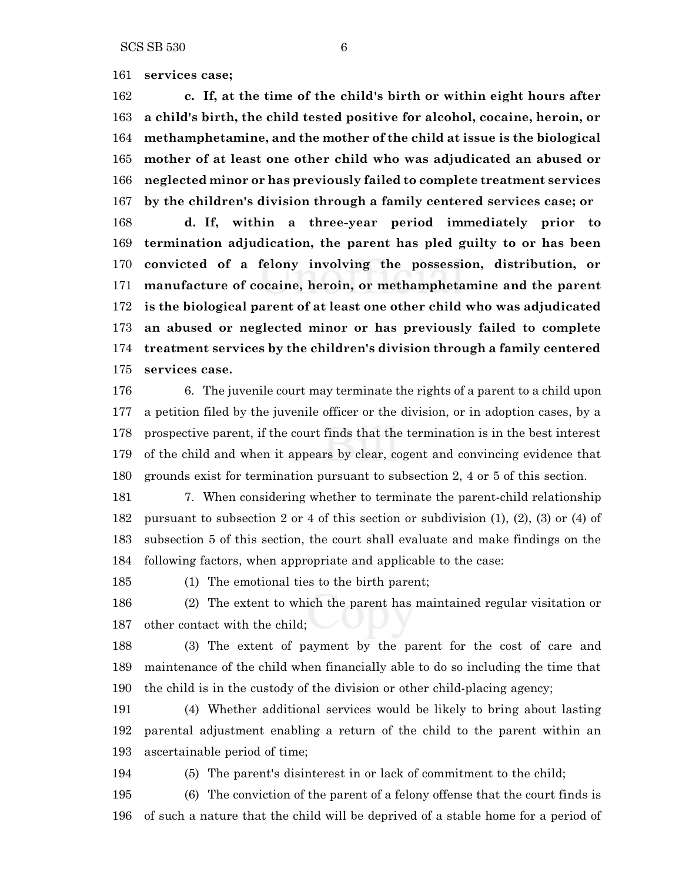**services case;**

 **c. If, at the time of the child's birth or within eight hours after a child's birth, the child tested positive for alcohol, cocaine, heroin, or methamphetamine, and the mother of the child at issue is the biological mother of at least one other child who was adjudicated an abused or neglected minor or has previously failed to complete treatment services by the children's division through a family centered services case; or d. If, within a three-year period immediately prior to termination adjudication, the parent has pled guilty to or has been convicted of a felony involving the possession, distribution, or manufacture of cocaine, heroin, or methamphetamine and the parent is the biological parent of at least one other child who was adjudicated an abused or neglected minor or has previously failed to complete**

 **treatment services by the children's division through a family centered services case.**

 6. The juvenile court may terminate the rights of a parent to a child upon a petition filed by the juvenile officer or the division, or in adoption cases, by a prospective parent, if the court finds that the termination is in the best interest of the child and when it appears by clear, cogent and convincing evidence that grounds exist for termination pursuant to subsection 2, 4 or 5 of this section.

 7. When considering whether to terminate the parent-child relationship pursuant to subsection 2 or 4 of this section or subdivision (1), (2), (3) or (4) of subsection 5 of this section, the court shall evaluate and make findings on the following factors, when appropriate and applicable to the case:

(1) The emotional ties to the birth parent;

 (2) The extent to which the parent has maintained regular visitation or other contact with the child;

 (3) The extent of payment by the parent for the cost of care and maintenance of the child when financially able to do so including the time that the child is in the custody of the division or other child-placing agency;

 (4) Whether additional services would be likely to bring about lasting parental adjustment enabling a return of the child to the parent within an ascertainable period of time;

(5) The parent's disinterest in or lack of commitment to the child;

 (6) The conviction of the parent of a felony offense that the court finds is of such a nature that the child will be deprived of a stable home for a period of